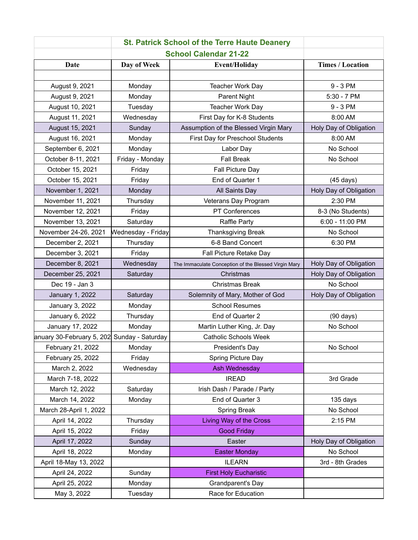| <b>St. Patrick School of the Terre Haute Deanery</b> |                    |                                                      |                         |  |
|------------------------------------------------------|--------------------|------------------------------------------------------|-------------------------|--|
| <b>School Calendar 21-22</b>                         |                    |                                                      |                         |  |
| <b>Date</b>                                          | Day of Week        | <b>Event/Holiday</b>                                 | <b>Times / Location</b> |  |
|                                                      |                    |                                                      |                         |  |
| August 9, 2021                                       | Monday             | <b>Teacher Work Day</b>                              | 9 - 3 PM                |  |
| August 9, 2021                                       | Monday             | Parent Night                                         | $5:30 - 7$ PM           |  |
| August 10, 2021                                      | Tuesday            | <b>Teacher Work Day</b>                              | 9 - 3 PM                |  |
| August 11, 2021                                      | Wednesday          | First Day for K-8 Students                           | 8:00 AM                 |  |
| August 15, 2021                                      | Sunday             | Assumption of the Blessed Virgin Mary                | Holy Day of Obligation  |  |
| August 16, 2021                                      | Monday             | First Day for Preschool Students                     | 8:00 AM                 |  |
| September 6, 2021                                    | Monday             | Labor Day                                            | No School               |  |
| October 8-11, 2021                                   | Friday - Monday    | <b>Fall Break</b>                                    | No School               |  |
| October 15, 2021                                     | Friday             | Fall Picture Day                                     |                         |  |
| October 15, 2021                                     | Friday             | End of Quarter 1                                     | $(45 \text{ days})$     |  |
| November 1, 2021                                     | Monday             | All Saints Day                                       | Holy Day of Obligation  |  |
| November 11, 2021                                    | Thursday           | Veterans Day Program                                 | 2:30 PM                 |  |
| November 12, 2021                                    | Friday             | PT Conferences                                       | 8-3 (No Students)       |  |
| November 13, 2021                                    | Saturday           | Raffle Party                                         | 6:00 - 11:00 PM         |  |
| November 24-26, 2021                                 | Wednesday - Friday | Thanksgiving Break                                   | No School               |  |
| December 2, 2021                                     | Thursday           | 6-8 Band Concert                                     | 6:30 PM                 |  |
| December 3, 2021                                     | Friday             | Fall Picture Retake Day                              |                         |  |
| December 8, 2021                                     | Wednesday          | The Immaculate Conception of the Blessed Virgin Mary | Holy Day of Obligation  |  |
| December 25, 2021                                    | Saturday           | Christmas                                            | Holy Day of Obligation  |  |
| Dec 19 - Jan 3                                       |                    | <b>Christmas Break</b>                               | No School               |  |
| January 1, 2022                                      | Saturday           | Solemnity of Mary, Mother of God                     | Holy Day of Obligation  |  |
| January 3, 2022                                      | Monday             | <b>School Resumes</b>                                |                         |  |
| January 6, 2022                                      | Thursday           | End of Quarter 2                                     | $(90 \text{ days})$     |  |
| January 17, 2022                                     | Monday             | Martin Luther King, Jr. Day                          | No School               |  |
| anuary 30-February 5, 202 Sunday - Saturday          |                    | <b>Catholic Schools Week</b>                         |                         |  |
| February 21, 2022                                    | Monday             | President's Day                                      | No School               |  |
| February 25, 2022                                    | Friday             | Spring Picture Day                                   |                         |  |
| March 2, 2022                                        | Wednesday          | Ash Wednesday                                        |                         |  |
| March 7-18, 2022                                     |                    | <b>IREAD</b>                                         | 3rd Grade               |  |
| March 12, 2022                                       | Saturday           | Irish Dash / Parade / Party                          |                         |  |
| March 14, 2022                                       | Monday             | End of Quarter 3                                     | 135 days                |  |
| March 28-April 1, 2022                               |                    | Spring Break                                         | No School               |  |
| April 14, 2022                                       | Thursday           | <b>Living Way of the Cross</b>                       | 2:15 PM                 |  |
| April 15, 2022                                       | Friday             | <b>Good Friday</b>                                   |                         |  |
| April 17, 2022                                       | Sunday             | Easter                                               | Holy Day of Obligation  |  |
| April 18, 2022                                       | Monday             | <b>Easter Monday</b>                                 | No School               |  |
| April 18-May 13, 2022                                |                    | <b>ILEARN</b>                                        | 3rd - 8th Grades        |  |
| April 24, 2022                                       | Sunday             | <b>First Holy Eucharistic</b>                        |                         |  |
| April 25, 2022                                       | Monday             | Grandparent's Day                                    |                         |  |
| May 3, 2022                                          | Tuesday            | Race for Education                                   |                         |  |